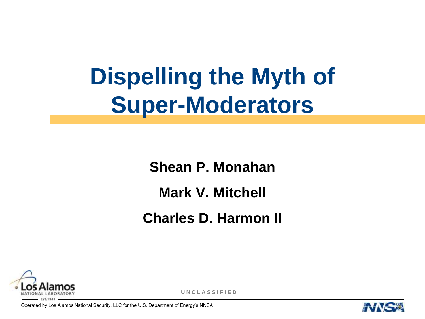# **Dispelling the Myth of Super-Moderators**

**Shean P. Monahan Mark V. Mitchell Charles D. Harmon II**



**U N C L A S S I F I E D**

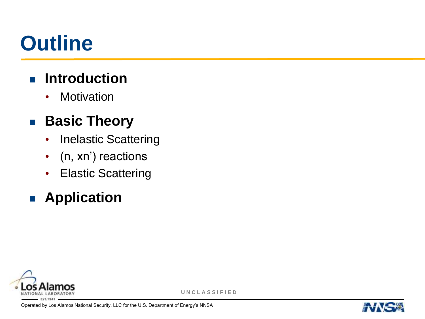# **Outline**

## $\blacksquare$  Introduction

• Motivation

## **Basic Theory**

- Inelastic Scattering
- (n, xn') reactions
- Elastic Scattering

## **Application**



**U N C L A S S I F I E D**

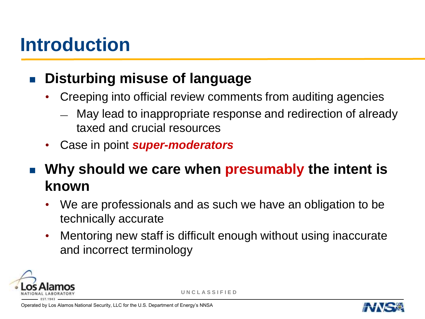## **Introduction**

#### **Disturbing misuse of language**

- Creeping into official review comments from auditing agencies
	- May lead to inappropriate response and redirection of already taxed and crucial resources
- Case in point *super-moderators*

 **Why should we care when presumably the intent is known**

- We are professionals and as such we have an obligation to be technically accurate
- Mentoring new staff is difficult enough without using inaccurate and incorrect terminology



**U N C L A S S I F I E D**

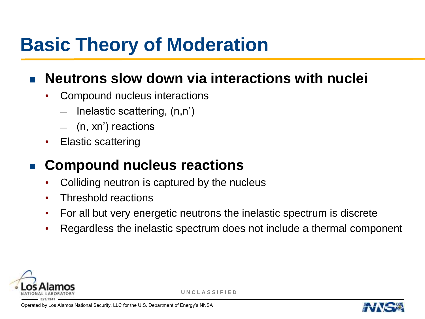## **Basic Theory of Moderation**

#### **Neutrons slow down via interactions with nuclei**

- Compound nucleus interactions
	- Inelastic scattering,  $(n,n')$
	- (n, xn') reactions
- Elastic scattering

## **Compound nucleus reactions**

- Colliding neutron is captured by the nucleus
- Threshold reactions
- For all but very energetic neutrons the inelastic spectrum is discrete
- Regardless the inelastic spectrum does not include a thermal component



**U N C L A S S I F I E D**

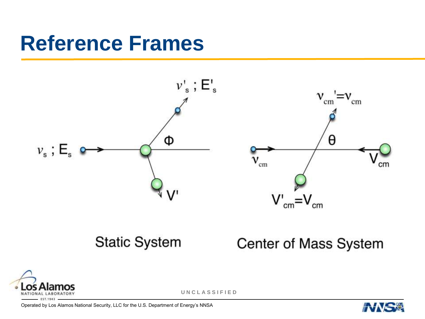## **Reference Frames**



#### **Static System**

**Center of Mass System** 



**U N C L A S S I F I E D**

Operated by Los Alamos National Security, LLC for the U.S. Department of Energy's NNSA



cm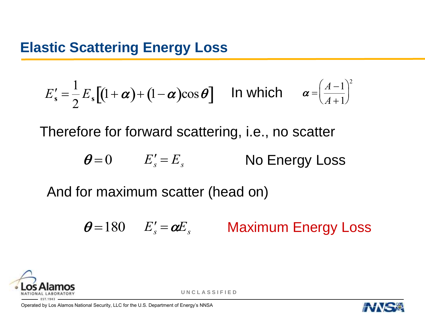#### **Elastic Scattering Energy Loss**

$$
E'_{s} = \frac{1}{2} E_{s} \left[ (1 + \alpha) + (1 - \alpha) \cos \theta \right] \quad \text{In which} \quad \alpha = \left( \frac{A - 1}{A + 1} \right)^{2}
$$

Therefore for forward scattering, i.e., no scatter

$$
\theta = 0 \qquad E'_s = E_s \qquad \qquad \text{No Energy Loss}
$$

And for maximum scatter (head on)

$$
\theta = 180
$$
  $E'_s = \alpha E_s$  Maximum Energy Loss



**U N C L A S S I F I E D**

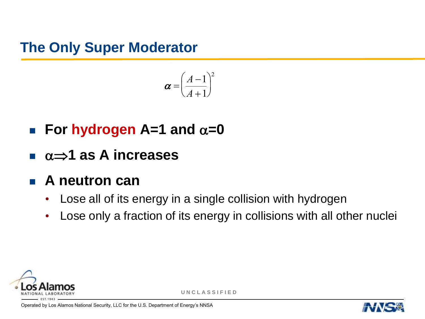**The Only Super Moderator**

$$
\boldsymbol{\alpha} = \left(\frac{A-1}{A+1}\right)^2
$$

- **For hydrogen** A=1 and  $\alpha$ =0 <u>...</u>
- **1 as A increases**
- **A neutron can** 
	- Lose all of its energy in a single collision with hydrogen
	- Lose only a fraction of its energy in collisions with all other nuclei



**U N C L A S S I F I E D**

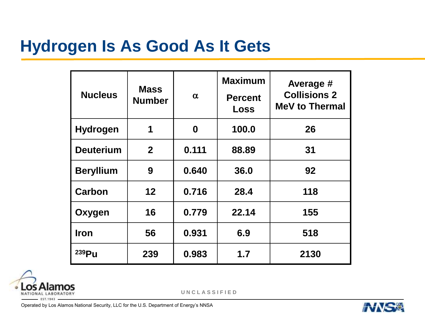## **Hydrogen Is As Good As It Gets**

| <b>Nucleus</b>    | <b>Mass</b><br><b>Number</b> | $\alpha$         | <b>Maximum</b><br><b>Percent</b><br>Loss | Average #<br><b>Collisions 2</b><br><b>MeV to Thermal</b> |
|-------------------|------------------------------|------------------|------------------------------------------|-----------------------------------------------------------|
| <b>Hydrogen</b>   | 1                            | $\boldsymbol{0}$ | 100.0                                    | 26                                                        |
| <b>Deuterium</b>  | $\overline{2}$               | 0.111            | 88.89                                    | 31                                                        |
| <b>Beryllium</b>  | 9                            | 0.640            | 36.0                                     | 92                                                        |
| Carbon            | 12                           | 0.716            | 28.4                                     | 118                                                       |
| Oxygen            | 16                           | 0.779            | 22.14                                    | 155                                                       |
| <b>Iron</b>       | 56                           | 0.931            | 6.9                                      | 518                                                       |
| 239P <sub>u</sub> | 239                          | 0.983            | 1.7                                      | 2130                                                      |



**U N C L A S S I F I E D**

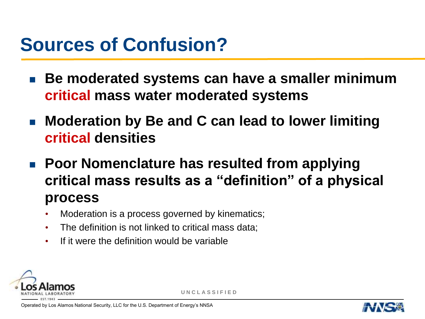## **Sources of Confusion?**

- Be moderated systems can have a smaller minimum **critical mass water moderated systems**
- Moderation by Be and C can lead to lower limiting **critical densities**
- Poor Nomenclature has resulted from applying **critical mass results as a "definition" of a physical process**
	- Moderation is a process governed by kinematics;
	- The definition is not linked to critical mass data;
	- If it were the definition would be variable



**U N C L A S S I F I E D**

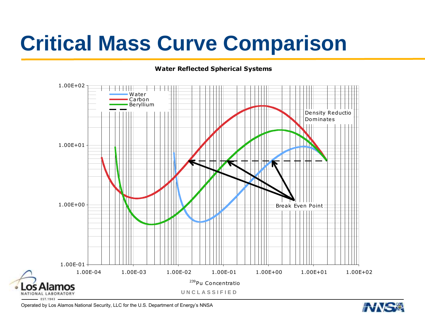# **Critical Mass Curve Comparison**

#### **Water Reflected Spherical Systems**



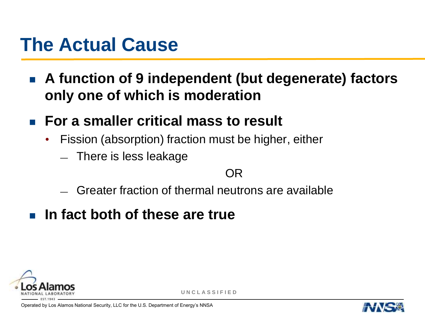## **The Actual Cause**

- **A function of 9 independent (but degenerate) factors only one of which is moderation**
- **For a smaller critical mass to result**
	- Fission (absorption) fraction must be higher, either
		- There is less leakage

#### OR

- Greater fraction of thermal neutrons are available
- **In fact both of these are true**



**U N C L A S S I F I E D**

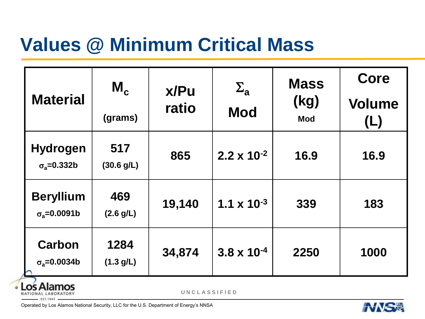## **Values @ Minimum Critical Mass**

| <b>Material</b>                              | $M_c$             | x/Pu<br>ratio | $\Sigma_{\mathbf{a}}$<br><b>Mod</b> | <b>Mass</b><br>(kg)<br><b>Mod</b> | Core                 |
|----------------------------------------------|-------------------|---------------|-------------------------------------|-----------------------------------|----------------------|
|                                              | (grams)           |               |                                     |                                   | <b>Volume</b><br>(L) |
| <b>Hydrogen</b><br>$\sigma_{\rm a} = 0.332b$ | 517<br>(30.6 g/L) | 865           | $2.2 \times 10^{-2}$                | 16.9                              | 16.9                 |
| <b>Beryllium</b><br>$\sigma_{a} = 0.0091b$   | 469<br>(2.6 g/L)  | 19,140        | $1.1 \times 10^{-3}$                | 339                               | 183                  |
| <b>Carbon</b><br>$\sigma_{\rm a} = 0.0034b$  | 1284<br>(1.3 g/L) | 34,874        | $3.8 \times 10^{-4}$                | 2250                              | 1000                 |

Los Alamos ٠ NATIONAL LABORATORY EST.1943

**U N C L A S S I F I E D**

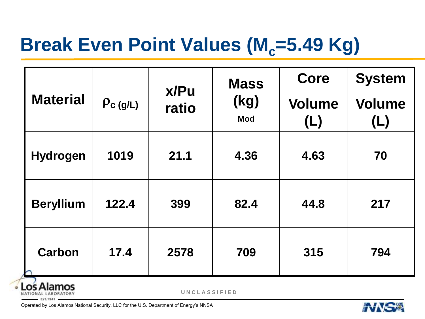## **Break Even Point Values (M<sub>c</sub>=5.49 Kg)**

| <b>Material</b>  | $\rho_{\text{c (g/L)}}$ | x/Pu<br>ratio | <b>Mass</b><br>(kg)<br><b>Mod</b> | Core                 | <b>System</b>        |
|------------------|-------------------------|---------------|-----------------------------------|----------------------|----------------------|
|                  |                         |               |                                   | <b>Volume</b><br>(L) | <b>Volume</b><br>(L) |
| <b>Hydrogen</b>  | 1019                    | 21.1          | 4.36                              | 4.63                 | 70                   |
| <b>Beryllium</b> | 122.4                   | 399           | 82.4                              | 44.8                 | 217                  |
| <b>Carbon</b>    | 17.4                    | 2578          | 709                               | 315                  | 794                  |

lamos NATIONAL LABORATORY EST.1943

**U N C L A S S I F I E D**

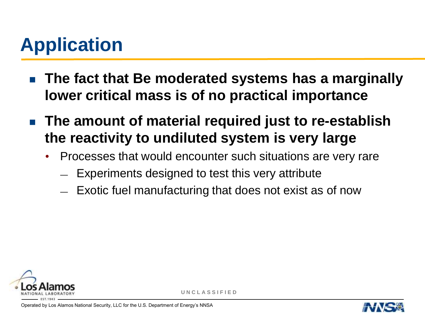## **Application**

- **The fact that Be moderated systems has a marginally lower critical mass is of no practical importance**
- **The amount of material required just to re-establish the reactivity to undiluted system is very large**
	- Processes that would encounter such situations are very rare
		- Experiments designed to test this very attribute
		- Exotic fuel manufacturing that does not exist as of now



**U N C L A S S I F I E D**

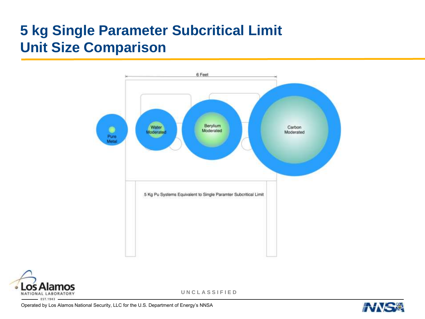#### **5 kg Single Parameter Subcritical Limit Unit Size Comparison**





**U N C L A S S I F I E D**

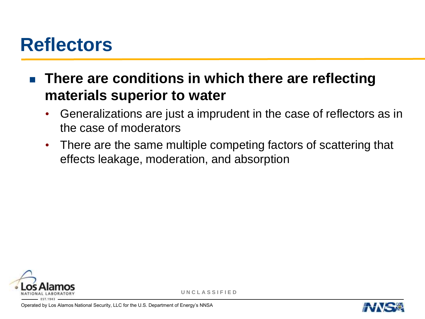## **Reflectors**

**There are conditions in which there are reflecting materials superior to water**

- Generalizations are just a imprudent in the case of reflectors as in the case of moderators
- There are the same multiple competing factors of scattering that effects leakage, moderation, and absorption



**U N C L A S S I F I E D**